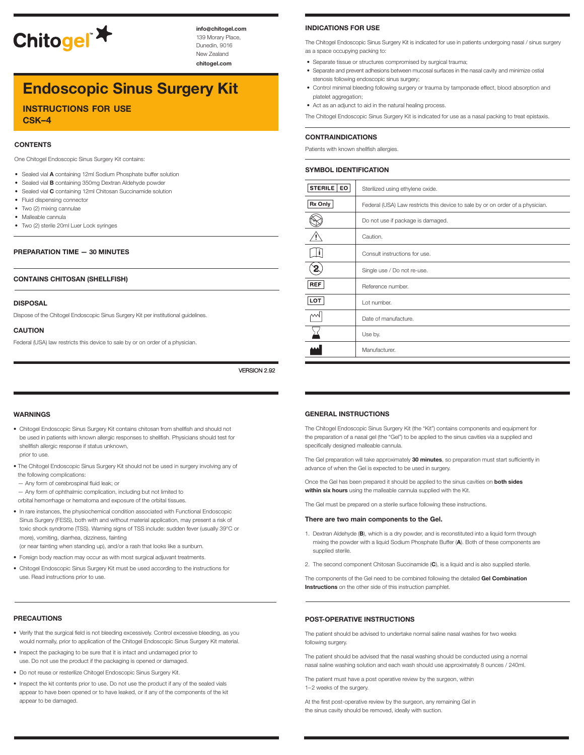

**info@chitogel.com** 139 Morary Place, Dunedin, 9016 New Zealand

**chitogel.com**

# **Endoscopic Sinus Surgery Kit**

**instructions for use csk–4**

#### **CONTENTS**

One Chitogel Endoscopic Sinus Surgery Kit contains:

- Sealed vial **A** containing 12ml Sodium Phosphate buffer solution
- Sealed vial **B** containing 350mg Dextran Aldehyde powder
- Sealed vial **C** containing 12ml Chitosan Succinamide solution
- Fluid dispensing connector
- Two (2) mixing cannulae
- Malleable cannula
- Two (2) sterile 20ml Luer Lock syringes

#### **PREPARATION TIME — 30 MINUTES**

#### **CONTAINS CHITOSAN (SHELLFISH)**

#### **DISPOSAL**

Dispose of the Chitogel Endoscopic Sinus Surgery Kit per institutional guidelines.

#### **CAUTION**

Federal (USA) law restricts this device to sale by or on order of a physician.

VERSION 2.92

#### **WARNINGS**

- Chitogel Endoscopic Sinus Surgery Kit contains chitosan from shellfish and should not be used in patients with known allergic responses to shellfish. Physicians should test for shellfish allergic response if status unknown, prior to use.
- 
- The Chitogel Endoscopic Sinus Surgery Kit should not be used in surgery involving any of the following complications:
- Any form of cerebrospinal fluid leak; or
- Any form of ophthalmic complication, including but not limited to
- orbital hemorrhage or hematoma and exposure of the orbital tissues.
- In rare instances, the physiochemical condition associated with Functional Endoscopic Sinus Surgery (FESS), both with and without material application, may present a risk of toxic shock syndrome (TSS). Warning signs of TSS include: sudden fever (usually 39°C or more), vomiting, diarrhea, dizziness, fainting (or near fainting when standing up), and/or a rash that looks like a sunburn.
- Foreign body reaction may occur as with most surgical adjuvant treatments.
- Chitogel Endoscopic Sinus Surgery Kit must be used according to the instructions for use. Read instructions prior to use.

#### **PRECAUTIONS**

- Verify that the surgical field is not bleeding excessively. Control excessive bleeding, as you would normally, prior to application of the Chitogel Endoscopic Sinus Surgery Kit material.
- Inspect the packaging to be sure that it is intact and undamaged prior to use. Do not use the product if the packaging is opened or damaged.
- Do not reuse or resterilize Chitogel Endoscopic Sinus Surgery Kit.
- Inspect the kit contents prior to use. Do not use the product if any of the sealed vials appear to have been opened or to have leaked, or if any of the components of the kit appear to be damaged.

#### **INDICATIONS FOR USE**

The Chitogel Endoscopic Sinus Surgery Kit is indicated for use in patients undergoing nasal / sinus surgery as a space occupying packing to:

- Separate tissue or structures compromised by surgical trauma;
- Separate and prevent adhesions between mucosal surfaces in the nasal cavity and minimize ostial stenosis following endoscopic sinus surgery;
- Control minimal bleeding following surgery or trauma by tamponade effect, blood absorption and platelet aggregation;
- Act as an adjunct to aid in the natural healing process.

The Chitogel Endoscopic Sinus Surgery Kit is indicated for use as a nasal packing to treat epistaxis.

#### **CONTRAINDICATIONS**

Patients with known shellfish allergies.

#### **SYMBOL IDENTIFICATION**

| Sterilized using ethylene oxide.                                               |
|--------------------------------------------------------------------------------|
| Federal (USA) Law restricts this device to sale by or on order of a physician. |
| Do not use if package is damaged.                                              |
| Caution.                                                                       |
| Consult instructions for use.                                                  |
| Single use / Do not re-use.                                                    |
| Reference number.                                                              |
| Lot number.                                                                    |
| Date of manufacture.                                                           |
| Use by.                                                                        |
| Manufacturer.                                                                  |
|                                                                                |

#### **GENERAL INSTRUCTIONS**

The Chitogel Endoscopic Sinus Surgery Kit (the "Kit") contains components and equipment for the preparation of a nasal gel (the "Gel") to be applied to the sinus cavities via a supplied and specifically designed malleable cannula.

The Gel preparation will take approximately **30 minutes**, so preparation must start sufficiently in advance of when the Gel is expected to be used in surgery.

Once the Gel has been prepared it should be applied to the sinus cavities on **both sides within six hours** using the malleable cannula supplied with the Kit.

The Gel must be prepared on a sterile surface following these instructions.

#### **There are two main components to the Gel.**

- 1. Dextran Aldehyde (**B**), which is a dry powder, and is reconstituted into a liquid form through mixing the powder with a liquid Sodium Phosphate Buffer (**A**). Both of these components are supplied sterile.
- 2. The second component Chitosan Succinamide (**C**), is a liquid and is also supplied sterile.

The components of the Gel need to be combined following the detailed **Gel Combination Instructions** on the other side of this instruction pamphlet.

#### **POST-OPERATIVE INSTRUCTIONS**

The patient should be advised to undertake normal saline nasal washes for two weeks following surgery.

The patient should be advised that the nasal washing should be conducted using a normal nasal saline washing solution and each wash should use approximately 8 ounces / 240ml.

The patient must have a post operative review by the surgeon, within 1–2 weeks of the surgery.

At the first post-operative review by the surgeon, any remaining Gel in the sinus cavity should be removed, ideally with suction.